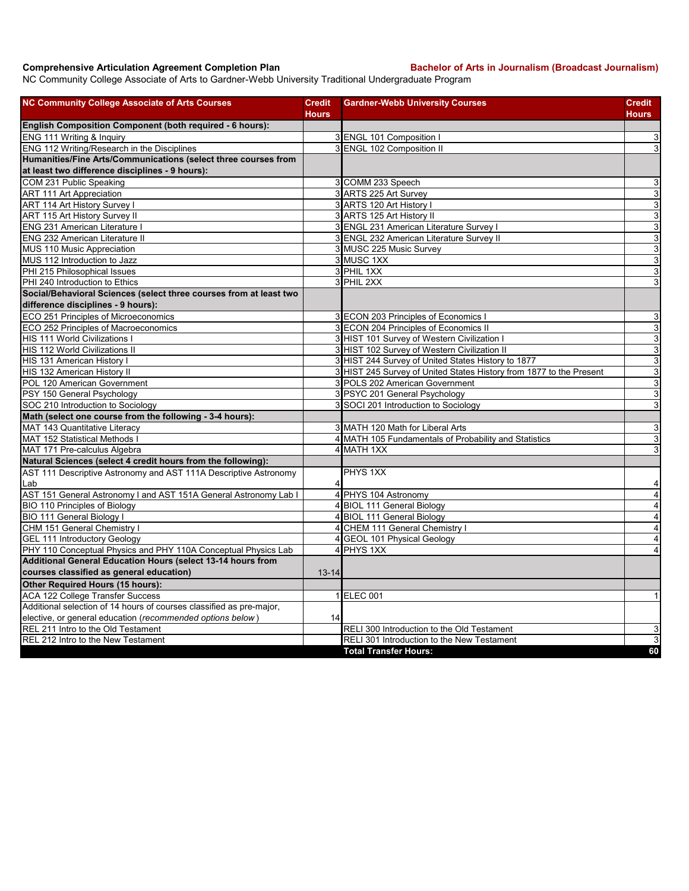## **Comprehensive Articulation Agreement Completion Plan Bachelor of Arts in Journalism (Broadcast Journalism)**

NC Community College Associate of Arts to Gardner-Webb University Traditional Undergraduate Program

| <b>NC Community College Associate of Arts Courses</b>                | <b>Credit</b><br>Hours  | <b>Gardner-Webb University Courses</b>                              | Credit<br>Hours           |
|----------------------------------------------------------------------|-------------------------|---------------------------------------------------------------------|---------------------------|
| English Composition Component (both required - 6 hours):             |                         |                                                                     |                           |
| ENG 111 Writing & Inquiry                                            |                         | 3 ENGL 101 Composition                                              | 3                         |
| ENG 112 Writing/Research in the Disciplines                          |                         | 3 ENGL 102 Composition II                                           | $\mathbf{3}$              |
| Humanities/Fine Arts/Communications (select three courses from       |                         |                                                                     |                           |
| at least two difference disciplines - 9 hours):                      |                         |                                                                     |                           |
| COM 231 Public Speaking                                              |                         | 3 COMM 233 Speech                                                   | 3                         |
| <b>ART 111 Art Appreciation</b>                                      |                         | 3 ARTS 225 Art Survey                                               | $\ensuremath{\mathsf{3}}$ |
| ART 114 Art History Survey I                                         |                         | 3 ARTS 120 Art History I                                            | ω                         |
| ART 115 Art History Survey II                                        |                         | 3 ARTS 125 Art History II                                           | 3                         |
| <b>ENG 231 American Literature I</b>                                 |                         | 3 ENGL 231 American Literature Survey I                             | 3                         |
| ENG 232 American Literature II                                       |                         | 3 ENGL 232 American Literature Survey II                            | ω                         |
| MUS 110 Music Appreciation                                           |                         | 3 MUSC 225 Music Survey                                             | $\overline{3}$            |
| MUS 112 Introduction to Jazz                                         |                         | 3 MUSC 1XX                                                          | ω                         |
| PHI 215 Philosophical Issues                                         |                         | 3 PHIL 1XX                                                          | $\mathbf{3}$              |
| PHI 240 Introduction to Ethics                                       |                         | 3 PHIL 2XX                                                          | 3                         |
| Social/Behavioral Sciences (select three courses from at least two   |                         |                                                                     |                           |
| difference disciplines - 9 hours):                                   |                         |                                                                     |                           |
| ECO 251 Principles of Microeconomics                                 |                         | 3 ECON 203 Principles of Economics I                                | 3                         |
| ECO 252 Principles of Macroeconomics                                 |                         | 3 ECON 204 Principles of Economics II                               | ω                         |
| HIS 111 World Civilizations I                                        |                         | 3 HIST 101 Survey of Western Civilization I                         | ω                         |
| HIS 112 World Civilizations II                                       |                         | 3 HIST 102 Survey of Western Civilization II                        | $\overline{3}$            |
| HIS 131 American History I                                           |                         | 3 HIST 244 Survey of United States History to 1877                  | 3                         |
| HIS 132 American History II                                          |                         | 3 HIST 245 Survey of United States History from 1877 to the Present | 3                         |
| POL 120 American Government                                          |                         | 3 POLS 202 American Government                                      | $\mathsf 3$               |
| PSY 150 General Psychology                                           |                         | 3<br>PSYC 201 General Psychology                                    | ω                         |
| SOC 210 Introduction to Sociology                                    |                         | 3 SOCI 201 Introduction to Sociology                                | 3                         |
| Math (select one course from the following - 3-4 hours):             |                         |                                                                     |                           |
| MAT 143 Quantitative Literacy                                        |                         | 3 MATH 120 Math for Liberal Arts                                    | 3                         |
| <b>MAT 152 Statistical Methods I</b>                                 |                         | 4 MATH 105 Fundamentals of Probability and Statistics               | $\overline{3}$            |
| MAT 171 Pre-calculus Algebra                                         |                         | 4 MATH 1XX                                                          | 3                         |
| Natural Sciences (select 4 credit hours from the following):         |                         |                                                                     |                           |
| AST 111 Descriptive Astronomy and AST 111A Descriptive Astronomy     |                         | PHYS 1XX                                                            |                           |
| Lab                                                                  | 4                       |                                                                     | 4                         |
| AST 151 General Astronomy I and AST 151A General Astronomy Lab I     | $\overline{\mathbf{4}}$ | PHYS 104 Astronomy                                                  | $\overline{4}$            |
| <b>BIO 110 Principles of Biology</b>                                 |                         | 4 BIOL 111 General Biology                                          | $\overline{4}$            |
| <b>BIO 111 General Biology I</b>                                     |                         | 4 BIOL 111 General Biology                                          | $\overline{\mathbf{4}}$   |
| CHM 151 General Chemistry I                                          |                         | 4 CHEM 111 General Chemistry I                                      | $\overline{\mathbf{4}}$   |
| <b>GEL 111 Introductory Geology</b>                                  | 4                       | <b>GEOL 101 Physical Geology</b>                                    | 4                         |
| PHY 110 Conceptual Physics and PHY 110A Conceptual Physics Lab       | 4                       | PHYS 1XX                                                            | $\overline{4}$            |
| Additional General Education Hours (select 13-14 hours from          |                         |                                                                     |                           |
| courses classified as general education)                             | $13 - 14$               |                                                                     |                           |
| Other Required Hours (15 hours):                                     |                         |                                                                     |                           |
| <b>ACA 122 College Transfer Success</b>                              |                         | 1 ELEC 001                                                          | $\mathbf{1}$              |
| Additional selection of 14 hours of courses classified as pre-major, |                         |                                                                     |                           |
| elective, or general education (recommended options below)           | 14                      |                                                                     |                           |
| REL 211 Intro to the Old Testament                                   |                         | RELI 300 Introduction to the Old Testament                          | 3                         |
| REL 212 Intro to the New Testament                                   |                         | RELI 301 Introduction to the New Testament                          | 3                         |
|                                                                      |                         | <b>Total Transfer Hours:</b>                                        | 60                        |